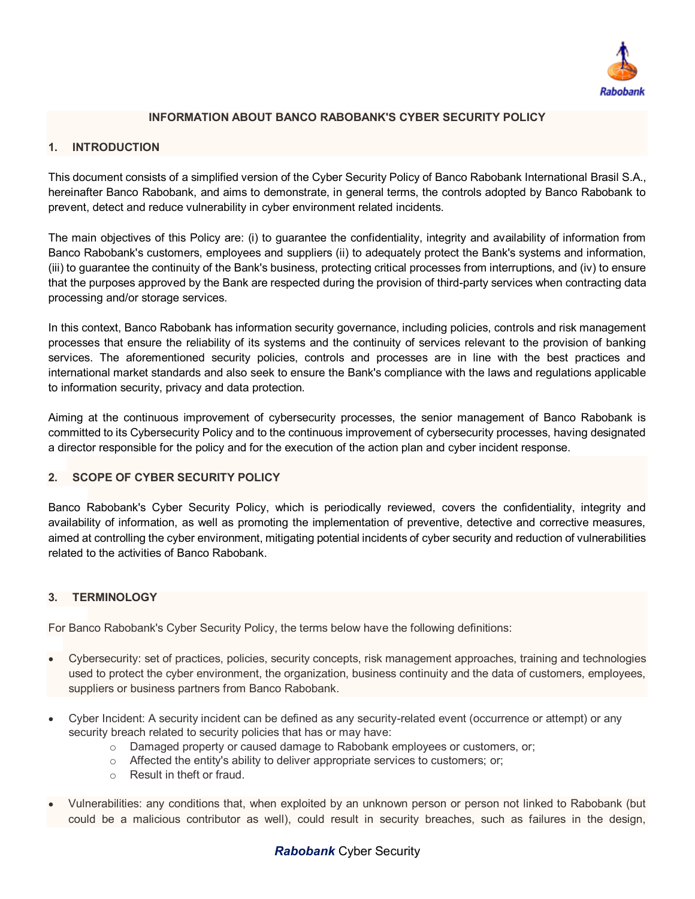

# **INFORMATION ABOUT BANCO RABOBANK'S CYBER SECURITY POLICY**

#### **1. INTRODUCTION**

This document consists of a simplified version of the Cyber Security Policy of Banco Rabobank International Brasil S.A., hereinafter Banco Rabobank, and aims to demonstrate, in general terms, the controls adopted by Banco Rabobank to prevent, detect and reduce vulnerability in cyber environment related incidents.

The main objectives of this Policy are: (i) to guarantee the confidentiality, integrity and availability of information from Banco Rabobank's customers, employees and suppliers (ii) to adequately protect the Bank's systems and information, (iii) to guarantee the continuity of the Bank's business, protecting critical processes from interruptions, and (iv) to ensure that the purposes approved by the Bank are respected during the provision of third-party services when contracting data processing and/or storage services.

In this context, Banco Rabobank has information security governance, including policies, controls and risk management processes that ensure the reliability of its systems and the continuity of services relevant to the provision of banking services. The aforementioned security policies, controls and processes are in line with the best practices and international market standards and also seek to ensure the Bank's compliance with the laws and regulations applicable to information security, privacy and data protection.

Aiming at the continuous improvement of cybersecurity processes, the senior management of Banco Rabobank is committed to its Cybersecurity Policy and to the continuous improvement of cybersecurity processes, having designated a director responsible for the policy and for the execution of the action plan and cyber incident response.

### **2. SCOPE OF CYBER SECURITY POLICY**

Banco Rabobank's Cyber Security Policy, which is periodically reviewed, covers the confidentiality, integrity and availability of information, as well as promoting the implementation of preventive, detective and corrective measures, aimed at controlling the cyber environment, mitigating potential incidents of cyber security and reduction of vulnerabilities related to the activities of Banco Rabobank.

#### **3. TERMINOLOGY**

For Banco Rabobank's Cyber Security Policy, the terms below have the following definitions:

- Cybersecurity: set of practices, policies, security concepts, risk management approaches, training and technologies  $\bullet$ used to protect the cyber environment, the organization, business continuity and the data of customers, employees, suppliers or business partners from Banco Rabobank.
- Cyber Incident: A security incident can be defined as any security-related event (occurrence or attempt) or any  $\bullet$ security breach related to security policies that has or may have:
	- o Damaged property or caused damage to Rabobank employees or customers, or;
	- o Affected the entity's ability to deliver appropriate services to customers; or;
	- o Result in theft or fraud.
- Vulnerabilities: any conditions that, when exploited by an unknown person or person not linked to Rabobank (but could be a malicious contributor as well), could result in security breaches, such as failures in the design,

# *Rabobank* Cyber Security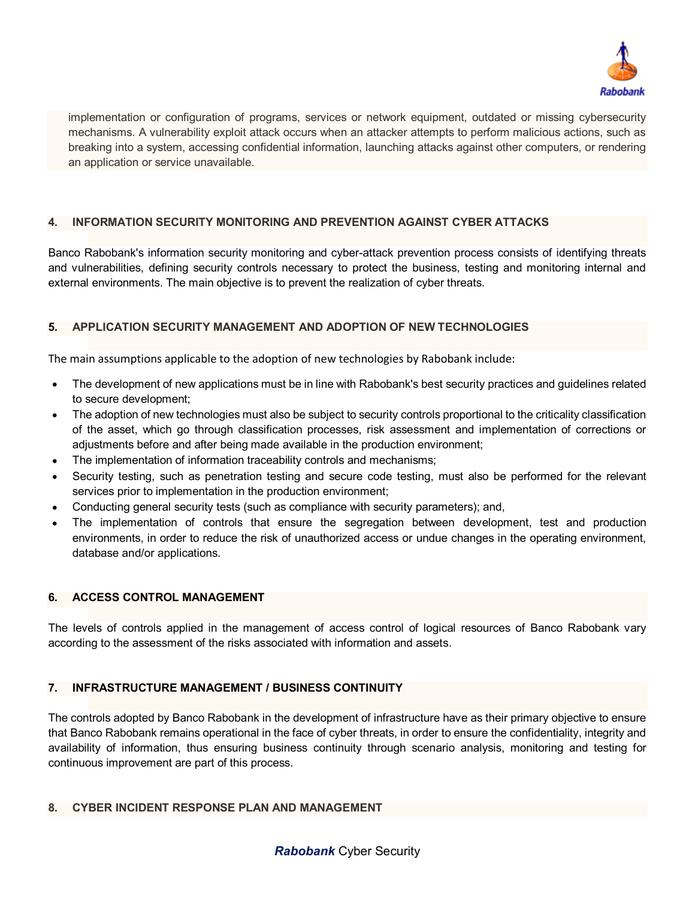

implementation or configuration of programs, services or network equipment, outdated or missing cybersecurity mechanisms. A vulnerability exploit attack occurs when an attacker attempts to perform malicious actions, such as breaking into a system, accessing confidential information, launching attacks against other computers, or rendering an application or service unavailable.

# **4. INFORMATION SECURITY MONITORING AND PREVENTION AGAINST CYBER ATTACKS**

Banco Rabobank's information security monitoring and cyber-attack prevention process consists of identifying threats and vulnerabilities, defining security controls necessary to protect the business, testing and monitoring internal and external environments. The main objective is to prevent the realization of cyber threats.

# **5. APPLICATION SECURITY MANAGEMENT AND ADOPTION OF NEW TECHNOLOGIES**

The main assumptions applicable to the adoption of new technologies by Rabobank include:

- The development of new applications must be in line with Rabobank's best security practices and guidelines related  $\bullet$ to secure development;
- The adoption of new technologies must also be subject to security controls proportional to the criticality classification  $\bullet$ of the asset, which go through classification processes, risk assessment and implementation of corrections or adjustments before and after being made available in the production environment;
- The implementation of information traceability controls and mechanisms;
- Security testing, such as penetration testing and secure code testing, must also be performed for the relevant services prior to implementation in the production environment;
- Conducting general security tests (such as compliance with security parameters); and,
- The implementation of controls that ensure the segregation between development, test and production environments, in order to reduce the risk of unauthorized access or undue changes in the operating environment, database and/or applications.

#### **6. ACCESS CONTROL MANAGEMENT**

The levels of controls applied in the management of access control of logical resources of Banco Rabobank vary according to the assessment of the risks associated with information and assets.

#### **7. INFRASTRUCTURE MANAGEMENT / BUSINESS CONTINUITY**

The controls adopted by Banco Rabobank in the development of infrastructure have as their primary objective to ensure that Banco Rabobank remains operational in the face of cyber threats, in order to ensure the confidentiality, integrity and availability of information, thus ensuring business continuity through scenario analysis, monitoring and testing for continuous improvement are part of this process.

#### **8. CYBER INCIDENT RESPONSE PLAN AND MANAGEMENT**